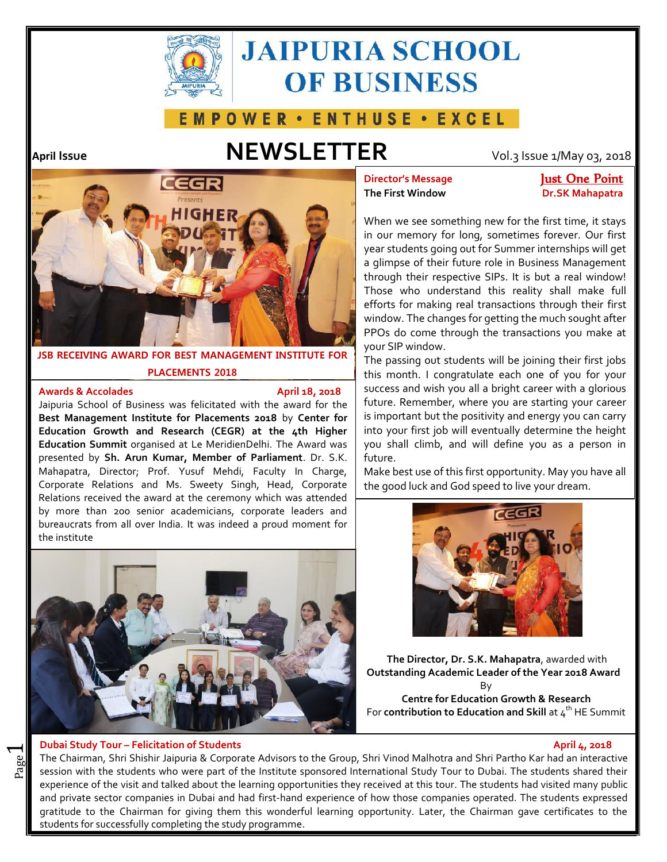

# **JAIPURIA SCHOOL OF BUSINESS**

## **EMPOWER · ENTHUSE · EXCEL**

## **April Issue NEWSLETTER** Vol.3 Issue 1/May 03, 2018



**JSB RECEIVING AWARD FOR BEST MANAGEMENT INSTITUTE FOR PLACEMENTS 2018**

### **Awards & Accolades April 18, 2018**

Jaipuria School of Business was felicitated with the award for the **Best Management Institute for Placements 2018** by **Center for Education Growth and Research (CEGR) at the 4th Higher Education Summit** organised at Le MeridienDelhi. The Award was presented by **Sh. Arun Kumar, Member of Parliament**. Dr. S.K. Mahapatra, Director; Prof. Yusuf Mehdi, Faculty In Charge, Corporate Relations and Ms. Sweety Singh, Head, Corporate Relations received the award at the ceremony which was attended by more than 200 senior academicians, corporate leaders and bureaucrats from all over India. It was indeed a proud moment for the institute



### **Dubai Study Tour – Felicitation of Students April 4, 2018**

 $\overline{\phantom{0}}$ 

**The First Window Dr.SK Mahapatra**

**Director's Message Just One Point** 

When we see something new for the first time, it stays in our memory for long, sometimes forever. Our first year students going out for Summer internships will get a glimpse of their future role in Business Management through their respective SIPs. It is but a real window! Those who understand this reality shall make full efforts for making real transactions through their first window. The changes for getting the much sought after PPOs do come through the transactions you make at your SIP window.

The passing out students will be joining their first jobs this month. I congratulate each one of you for your success and wish you all a bright career with a glorious future. Remember, where you are starting your career is important but the positivity and energy you can carry into your first job will eventually determine the height you shall climb, and will define you as a person in future.

Make best use of this first opportunity. May you have all the good luck and God speed to live your dream.



**The Director, Dr. S.K. Mahapatra**, awarded with **Outstanding Academic Leader of the Year 2018 Award** By **Centre for Education Growth & Research** For **contribution to Education and Skill** at 4<sup>th</sup> HE Summit

and The Chairman, Shri Shishir Jaipuria & Corporate Advisors to the Group, Shri Vinod Malhotra and Shri Partho Kar had an interactive<br>See session with the students who were part of the Institute sponsored International Stu The Chairman, Shri Shishir Jaipuria & Corporate Advisors to the Group, Shri Vinod Malhotra and Shri Partho Kar had an interactive experience of the visit and talked about the learning opportunities they received at this tour. The students had visited many public and private sector companies in Dubai and had first-hand experience of how those companies operated. The students expressed gratitude to the Chairman for giving them this wonderful learning opportunity. Later, the Chairman gave certificates to the students for successfully completing the study programme.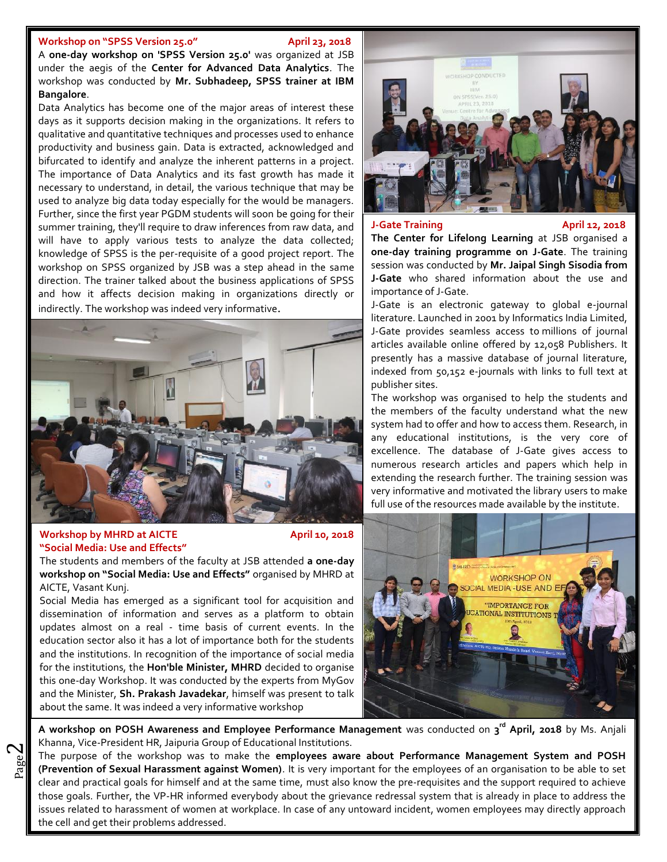### Workshop on "SPSS Version 25.0" April 23, 2018

**CORDING WAS CONDUCTED BY Mr. Subhadeep, SPSS trainer at IBM Example and Skillar at the 4<sup>2</sup> second Summit at the 4<sup>2</sup> second Summit at the 4<sup>2</sup>** A **one-day workshop on 'SPSS Version 25.0'** was organized at JSB under the aegis of the **Center for Advanced Data Analytics**. The **Bangalore**.

Data Analytics has become one of the major areas of interest these days as it supports decision making in the organizations. It refers to Indicated to identify and analyze the immetent patterns in a project. qualitative and quantitative techniques and processes used to enhance productivity and business gain. Data is extracted, acknowledged and bifurcated to identify and analyze the inherent patterns in a project. necessary to understand, in detail, the various technique that may be used to analyze big data today especially for the would be managers. Further, since the first year PGDM students will soon be going for their summer training, they'll require to draw inferences from raw data, and will have to apply various tests to analyze the data collected; knowledge of SPSS is the per-requisite of a good project report. The workshop on SPSS organized by JSB was a step ahead in the same direction. The trainer talked about the business applications of SPSS and how it affects decision making in organizations directly or indirectly. The workshop was indeed very informative.



### **Workshop by MHRD at AICTE** April 10, 2018 **"Social Media: Use and Effects"**

 $\boldsymbol{\sim}$ 

The students and members of the faculty at JSB attended **a one-day workshop on "Social Media: Use and Effects"** organised by MHRD at AICTE, Vasant Kunj.

Social Media has emerged as a significant tool for acquisition and dissemination of information and serves as a platform to obtain updates almost on a real - time basis of current events. In the education sector also it has a lot of importance both for the students and the institutions. In recognition of the importance of social media for the institutions, the **Hon'ble Minister, MHRD** decided to organise this one-day Workshop. It was conducted by the experts from MyGov and the Minister, **Sh. Prakash Javadekar**, himself was present to talk about the same. It was indeed a very informative workshop



### **J-Gate Training April 12, 2018**

**The Center for Lifelong Learning** at JSB organised a **one-day training programme on J-Gate**. The training session was conducted by **Mr. Jaipal Singh Sisodia from J-Gate** who shared information about the use and importance of J-Gate.

J-Gate is an electronic gateway to global e-journal literature. Launched in 2001 by Informatics India Limited, J-Gate provides seamless access to millions of journal articles available online offered by 12,058 Publishers. It presently has a massive database of journal literature, indexed from 50,152 e-journals with links to full text at publisher sites.

The workshop was organised to help the students and the members of the faculty understand what the new system had to offer and how to access them. Research, in any educational institutions, is the very core of excellence. The database of J-Gate gives access to numerous research articles and papers which help in extending the research further. The training session was very informative and motivated the library users to make full use of the resources made available by the institute.



**A workshop on POSH Awareness and Employee Performance Management** was conducted on **3 rd April, 2018** by Ms. Anjali Khanna, Vice-President HR, Jaipuria Group of Educational Institutions.

Page The purpose of the workshop was to make the employees aware about Performance Management System and POSH  $\frac{80}{2}$  The purpose of the workshop was to make the **employees aware about Performance Management System and POSH** clear and practical goals for himself and at the same time, must also know the pre-requisites and the support required to achieve those goals. Further, the VP-HR informed everybody about the grievance redressal system that is already in place to address the issues related to harassment of women at workplace. In case of any untoward incident, women employees may directly approach the cell and get their problems addressed.